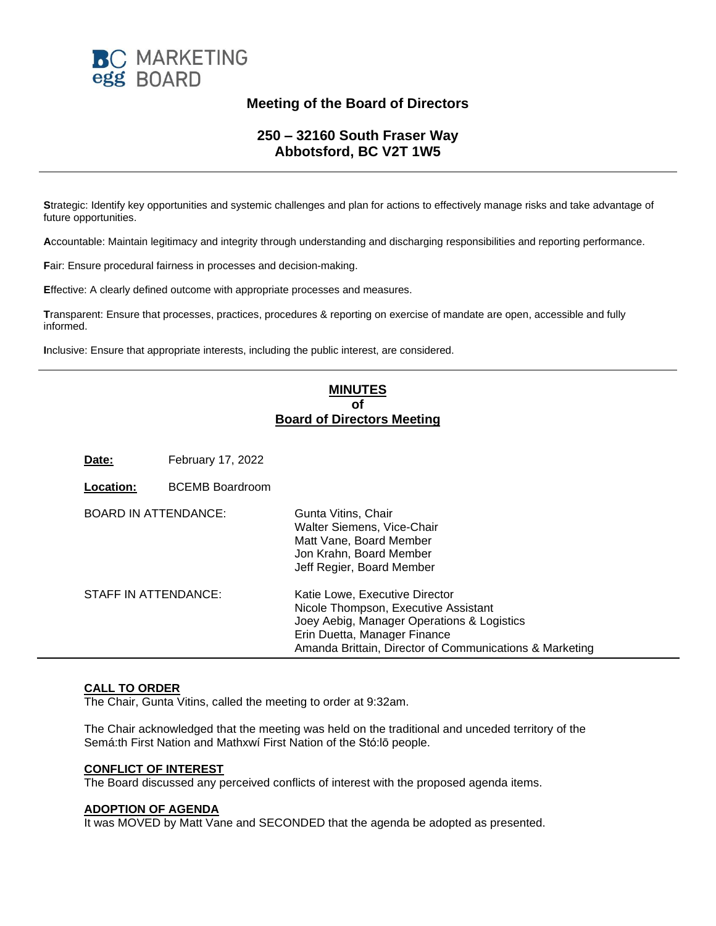

# **Meeting of the Board of Directors**

# **250 – 32160 South Fraser Way Abbotsford, BC V2T 1W5**

**S**trategic: Identify key opportunities and systemic challenges and plan for actions to effectively manage risks and take advantage of future opportunities.

**A**ccountable: Maintain legitimacy and integrity through understanding and discharging responsibilities and reporting performance.

**F**air: Ensure procedural fairness in processes and decision-making.

**E**ffective: A clearly defined outcome with appropriate processes and measures.

**T**ransparent: Ensure that processes, practices, procedures & reporting on exercise of mandate are open, accessible and fully informed.

**I**nclusive: Ensure that appropriate interests, including the public interest, are considered.

# **MINUTES of Board of Directors Meeting**

**Date:** February 17, 2022

**Location:** BCEMB Boardroom

| <b>BOARD IN ATTENDANCE:</b> | Gunta Vitins, Chair<br>Walter Siemens, Vice-Chair<br>Matt Vane, Board Member<br>Jon Krahn, Board Member<br>Jeff Regier, Board Member                                                                            |
|-----------------------------|-----------------------------------------------------------------------------------------------------------------------------------------------------------------------------------------------------------------|
| STAFF IN ATTENDANCE:        | Katie Lowe, Executive Director<br>Nicole Thompson, Executive Assistant<br>Joey Aebig, Manager Operations & Logistics<br>Erin Duetta, Manager Finance<br>Amanda Brittain, Director of Communications & Marketing |

### **CALL TO ORDER**

The Chair, Gunta Vitins, called the meeting to order at 9:32am.

The Chair acknowledged that the meeting was held on the traditional and unceded territory of the Semá:th First Nation and Mathxwí First Nation of the Stó:lō people.

#### **CONFLICT OF INTEREST**

The Board discussed any perceived conflicts of interest with the proposed agenda items.

# **ADOPTION OF AGENDA**

It was MOVED by Matt Vane and SECONDED that the agenda be adopted as presented.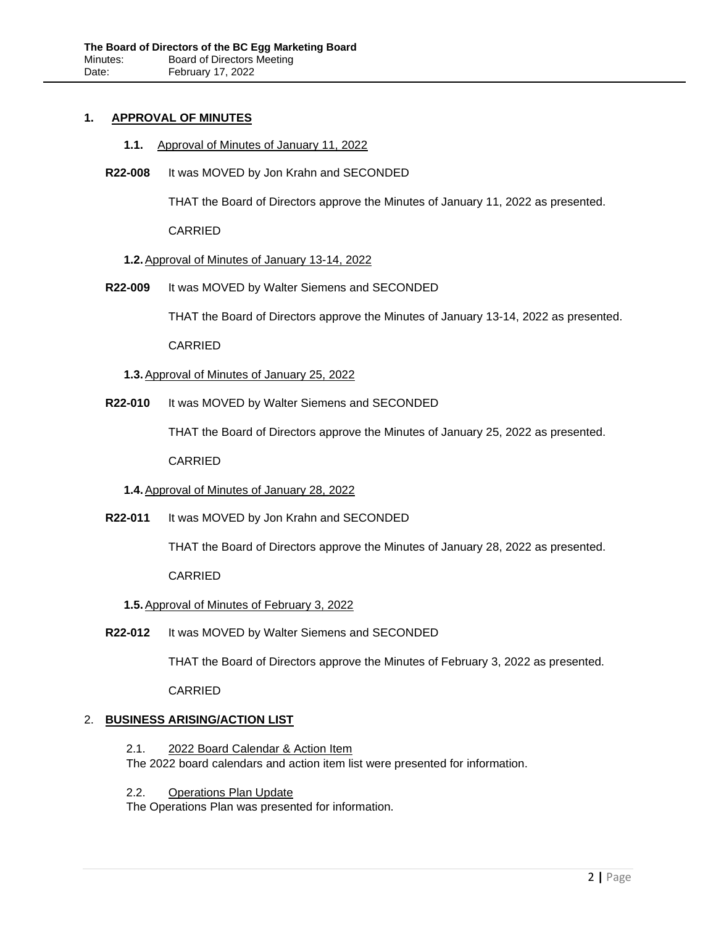#### **1. APPROVAL OF MINUTES**

- **1.1.** Approval of Minutes of January 11, 2022
- **R22-008** It was MOVED by Jon Krahn and SECONDED

THAT the Board of Directors approve the Minutes of January 11, 2022 as presented.

CARRIED

#### **1.2.**Approval of Minutes of January 13-14, 2022

**R22-009** It was MOVED by Walter Siemens and SECONDED

THAT the Board of Directors approve the Minutes of January 13-14, 2022 as presented.

CARRIED

- **1.3.**Approval of Minutes of January 25, 2022
- **R22-010** It was MOVED by Walter Siemens and SECONDED

THAT the Board of Directors approve the Minutes of January 25, 2022 as presented.

CARRIED

# **1.4.**Approval of Minutes of January 28, 2022

**R22-011** It was MOVED by Jon Krahn and SECONDED

THAT the Board of Directors approve the Minutes of January 28, 2022 as presented.

CARRIED

### **1.5.**Approval of Minutes of February 3, 2022

**R22-012** It was MOVED by Walter Siemens and SECONDED

THAT the Board of Directors approve the Minutes of February 3, 2022 as presented.

CARRIED

# 2. **BUSINESS ARISING/ACTION LIST**

- 2.1. 2022 Board Calendar & Action Item The 2022 board calendars and action item list were presented for information.
- 2.2. Operations Plan Update

The Operations Plan was presented for information.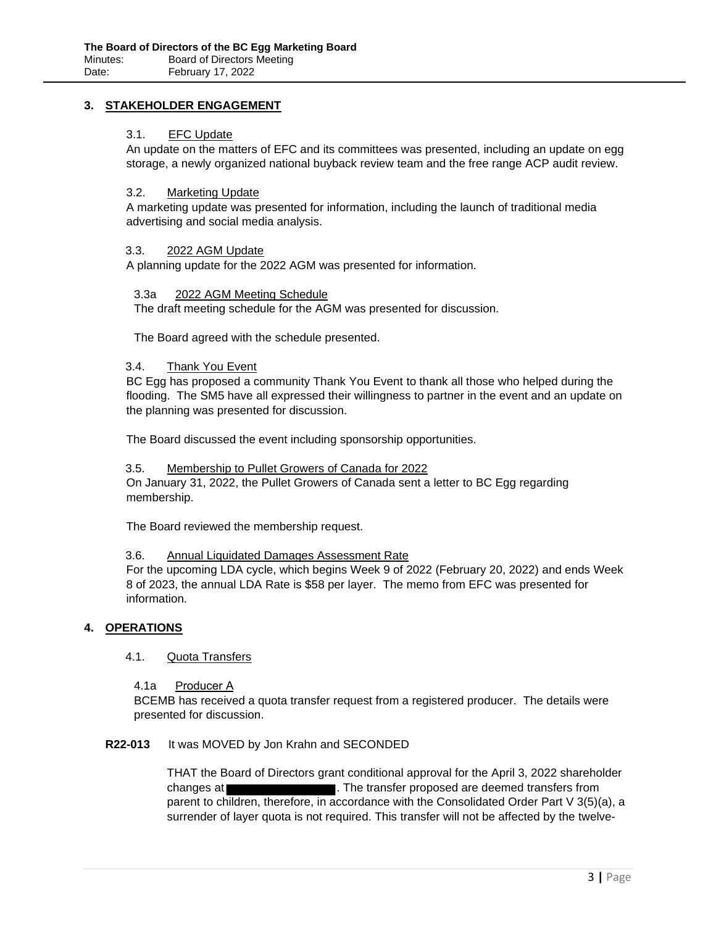# **3. STAKEHOLDER ENGAGEMENT**

#### 3.1. EFC Update

An update on the matters of EFC and its committees was presented, including an update on egg storage, a newly organized national buyback review team and the free range ACP audit review.

#### 3.2. Marketing Update

A marketing update was presented for information, including the launch of traditional media advertising and social media analysis.

#### 3.3. 2022 AGM Update

A planning update for the 2022 AGM was presented for information.

#### 3.3a 2022 AGM Meeting Schedule

The draft meeting schedule for the AGM was presented for discussion.

The Board agreed with the schedule presented.

#### 3.4. Thank You Event

BC Egg has proposed a community Thank You Event to thank all those who helped during the flooding. The SM5 have all expressed their willingness to partner in the event and an update on the planning was presented for discussion.

The Board discussed the event including sponsorship opportunities.

#### 3.5. Membership to Pullet Growers of Canada for 2022

On January 31, 2022, the Pullet Growers of Canada sent a letter to BC Egg regarding membership.

The Board reviewed the membership request.

#### 3.6. Annual Liquidated Damages Assessment Rate

For the upcoming LDA cycle, which begins Week 9 of 2022 (February 20, 2022) and ends Week 8 of 2023, the annual LDA Rate is \$58 per layer. The memo from EFC was presented for information.

### **4. OPERATIONS**

#### 4.1. Quota Transfers

4.1a Producer A

BCEMB has received a quota transfer request from a registered producer. The details were presented for discussion.

### **R22-013** It was MOVED by Jon Krahn and SECONDED

THAT the Board of Directors grant conditional approval for the April 3, 2022 shareholder changes at **the transfer proposed are deemed transfers from** parent to children, therefore, in accordance with the Consolidated Order Part V 3(5)(a), a surrender of layer quota is not required. This transfer will not be affected by the twelve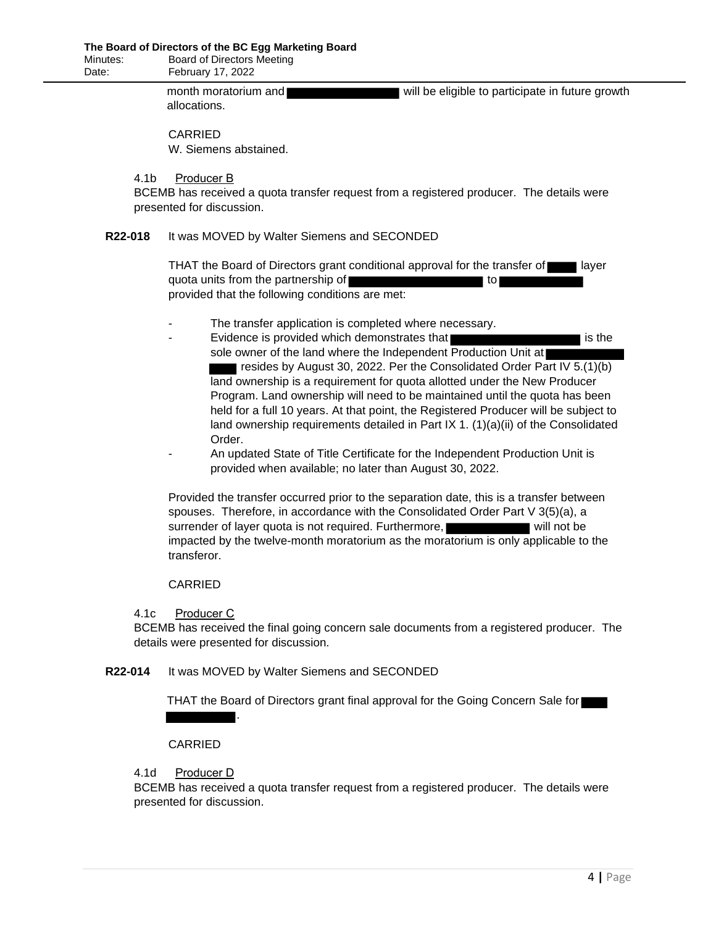month moratorium and **will be eligible to participate in future growth** allocations.

# CARRIED

W. Siemens abstained.

#### 4.1b Producer B

BCEMB has received a quota transfer request from a registered producer. The details were presented for discussion.

### **R22-018** It was MOVED by Walter Siemens and SECONDED

THAT the Board of Directors grant conditional approval for the transfer of layer quota units from the partnership of **the same of the same of the same of the same of the same of the same of the same of the same of the same of the same of the same of the same of the same of the same of the same of the s** provided that the following conditions are met:

- The transfer application is completed where necessary.
- Evidence is provided which demonstrates that **interest is the interest of the interest is the** sole owner of the land where the Independent Production Unit at resides by August 30, 2022. Per the Consolidated Order Part IV 5.(1)(b) land ownership is a requirement for quota allotted under the New Producer Program. Land ownership will need to be maintained until the quota has been held for a full 10 years. At that point, the Registered Producer will be subject to land ownership requirements detailed in Part IX 1. (1)(a)(ii) of the Consolidated Order.
- An updated State of Title Certificate for the Independent Production Unit is provided when available; no later than August 30, 2022.

Provided the transfer occurred prior to the separation date, this is a transfer between spouses. Therefore, in accordance with the Consolidated Order Part V 3(5)(a), a surrender of layer quota is not required. Furthermore, will not be impacted by the twelve-month moratorium as the moratorium is only applicable to the transferor.

# CARRIED

### 4.1c Producer C

BCEMB has received the final going concern sale documents from a registered producer. The details were presented for discussion.

### **R22-014** It was MOVED by Walter Siemens and SECONDED

.

THAT the Board of Directors grant final approval for the Going Concern Sale for

### CARRIED

# 4.1d Producer D

BCEMB has received a quota transfer request from a registered producer. The details were presented for discussion.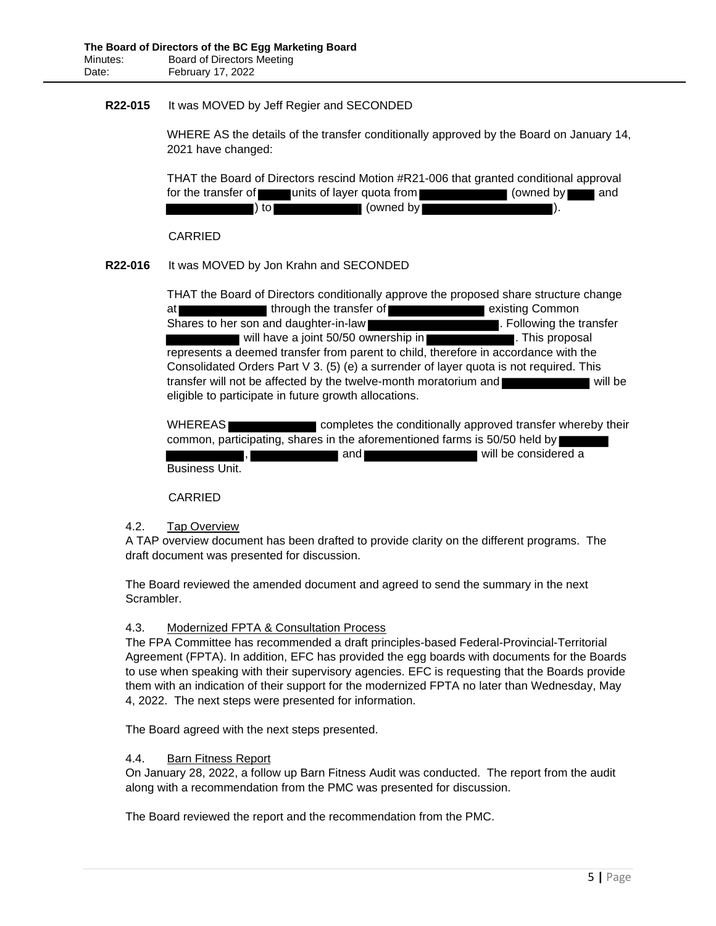# **R22-015** It was MOVED by Jeff Regier and SECONDED

WHERE AS the details of the transfer conditionally approved by the Board on January 14, 2021 have changed:

THAT the Board of Directors rescind Motion #R21-006 that granted conditional approval for the transfer of units of layer quota from **the set of the transfer of and** ) to (owned by  $($  (owned by  $)$ .

CARRIED

# **R22-016** It was MOVED by Jon Krahn and SECONDED

THAT the Board of Directors conditionally approve the proposed share structure change at through the transfer of existing Common Shares to her son and daughter-in-law **.** Following the transfer will have a joint 50/50 ownership in **William Contract and Trume in This proposal** represents a deemed transfer from parent to child, therefore in accordance with the Consolidated Orders Part V 3. (5) (e) a surrender of layer quota is not required. This transfer will not be affected by the twelve-month moratorium and will be will be eligible to participate in future growth allocations.

WHEREAS completes the conditionally approved transfer whereby their common, participating, shares in the aforementioned farms is 50/50 held by and **will be considered a** will be considered a Business Unit.

### CARRIED

### 4.2. Tap Overview

A TAP overview document has been drafted to provide clarity on the different programs. The draft document was presented for discussion.

The Board reviewed the amended document and agreed to send the summary in the next Scrambler.

### 4.3. Modernized FPTA & Consultation Process

The FPA Committee has recommended a draft principles-based Federal-Provincial-Territorial Agreement (FPTA). In addition, EFC has provided the egg boards with documents for the Boards to use when speaking with their supervisory agencies. EFC is requesting that the Boards provide them with an indication of their support for the modernized FPTA no later than Wednesday, May 4, 2022. The next steps were presented for information.

The Board agreed with the next steps presented.

# 4.4. Barn Fitness Report

On January 28, 2022, a follow up Barn Fitness Audit was conducted. The report from the audit along with a recommendation from the PMC was presented for discussion.

The Board reviewed the report and the recommendation from the PMC.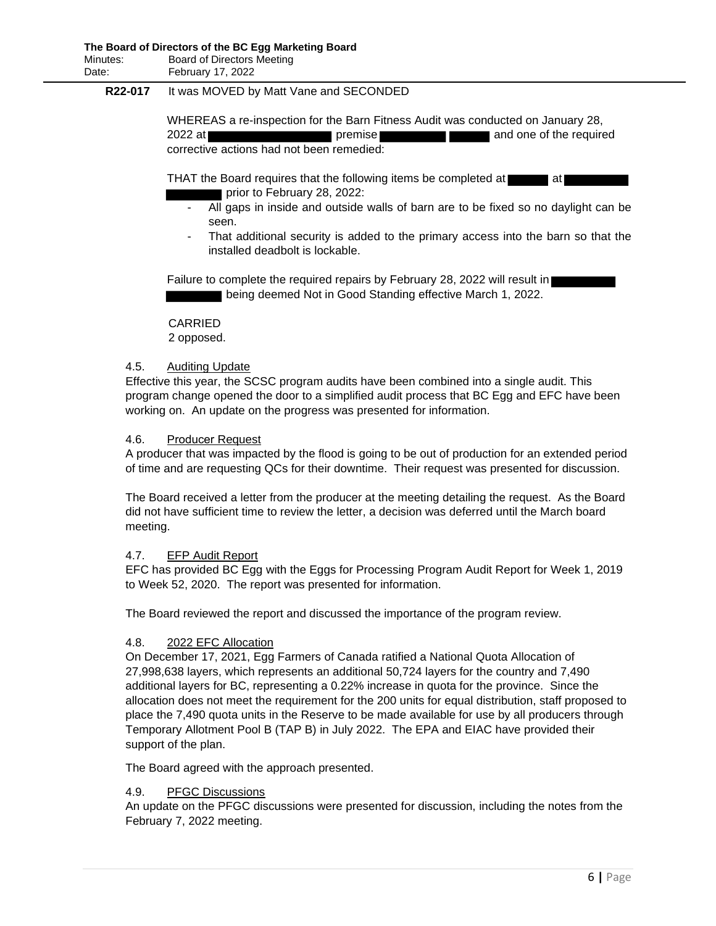# **R22-017** It was MOVED by Matt Vane and SECONDED

WHEREAS a re-inspection for the Barn Fitness Audit was conducted on January 28, 2022 at **premise premise and one of the required** corrective actions had not been remedied:

THAT the Board requires that the following items be completed at  $\blacksquare$  at prior to February 28, 2022:

- All gaps in inside and outside walls of barn are to be fixed so no daylight can be seen.
- That additional security is added to the primary access into the barn so that the installed deadbolt is lockable.

Failure to complete the required repairs by February 28, 2022 will result in being deemed Not in Good Standing effective March 1, 2022.

CARRIED 2 opposed.

#### 4.5. Auditing Update

Effective this year, the SCSC program audits have been combined into a single audit. This program change opened the door to a simplified audit process that BC Egg and EFC have been working on. An update on the progress was presented for information.

#### 4.6. Producer Request

A producer that was impacted by the flood is going to be out of production for an extended period of time and are requesting QCs for their downtime. Their request was presented for discussion.

The Board received a letter from the producer at the meeting detailing the request. As the Board did not have sufficient time to review the letter, a decision was deferred until the March board meeting.

### 4.7. EFP Audit Report

EFC has provided BC Egg with the Eggs for Processing Program Audit Report for Week 1, 2019 to Week 52, 2020. The report was presented for information.

The Board reviewed the report and discussed the importance of the program review.

### 4.8. 2022 EFC Allocation

On December 17, 2021, Egg Farmers of Canada ratified a National Quota Allocation of 27,998,638 layers, which represents an additional 50,724 layers for the country and 7,490 additional layers for BC, representing a 0.22% increase in quota for the province. Since the allocation does not meet the requirement for the 200 units for equal distribution, staff proposed to place the 7,490 quota units in the Reserve to be made available for use by all producers through Temporary Allotment Pool B (TAP B) in July 2022. The EPA and EIAC have provided their support of the plan.

The Board agreed with the approach presented.

### 4.9. PFGC Discussions

An update on the PFGC discussions were presented for discussion, including the notes from the February 7, 2022 meeting.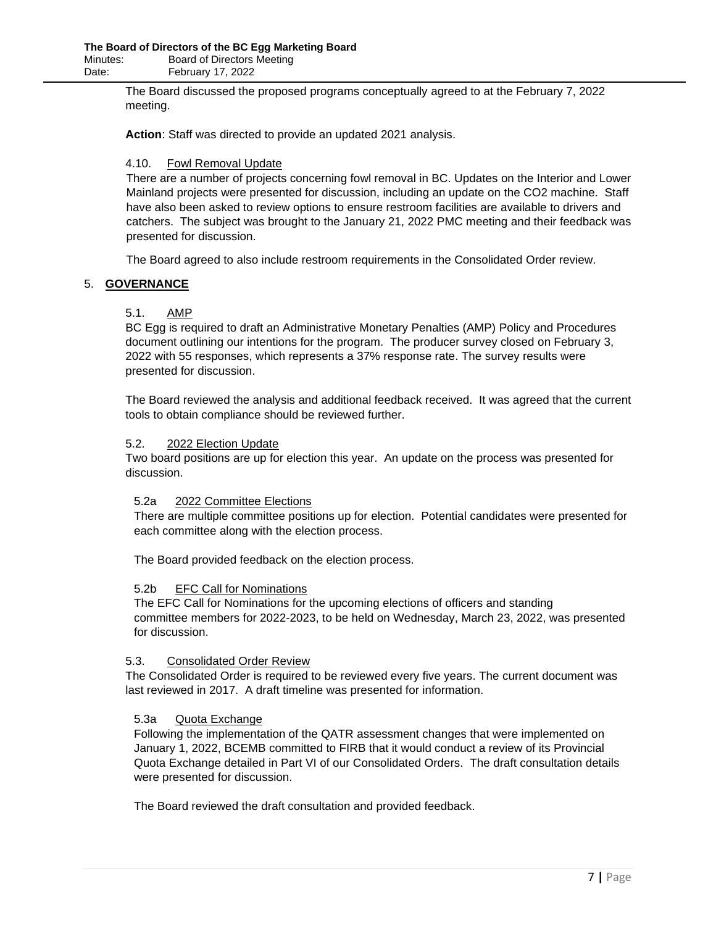The Board discussed the proposed programs conceptually agreed to at the February 7, 2022 meeting.

**Action**: Staff was directed to provide an updated 2021 analysis.

# 4.10. Fowl Removal Update

There are a number of projects concerning fowl removal in BC. Updates on the Interior and Lower Mainland projects were presented for discussion, including an update on the CO2 machine. Staff have also been asked to review options to ensure restroom facilities are available to drivers and catchers. The subject was brought to the January 21, 2022 PMC meeting and their feedback was presented for discussion.

The Board agreed to also include restroom requirements in the Consolidated Order review.

# 5. **GOVERNANCE**

# 5.1. AMP

BC Egg is required to draft an Administrative Monetary Penalties (AMP) Policy and Procedures document outlining our intentions for the program. The producer survey closed on February 3, 2022 with 55 responses, which represents a 37% response rate. The survey results were presented for discussion.

The Board reviewed the analysis and additional feedback received. It was agreed that the current tools to obtain compliance should be reviewed further.

### 5.2. 2022 Election Update

Two board positions are up for election this year. An update on the process was presented for discussion.

### 5.2a 2022 Committee Elections

There are multiple committee positions up for election. Potential candidates were presented for each committee along with the election process.

The Board provided feedback on the election process.

### 5.2b EFC Call for Nominations

The EFC Call for Nominations for the upcoming elections of officers and standing committee members for 2022-2023, to be held on Wednesday, March 23, 2022, was presented for discussion.

### 5.3. Consolidated Order Review

The Consolidated Order is required to be reviewed every five years. The current document was last reviewed in 2017. A draft timeline was presented for information.

### 5.3a Quota Exchange

Following the implementation of the QATR assessment changes that were implemented on January 1, 2022, BCEMB committed to FIRB that it would conduct a review of its Provincial Quota Exchange detailed in Part VI of our Consolidated Orders. The draft consultation details were presented for discussion.

The Board reviewed the draft consultation and provided feedback.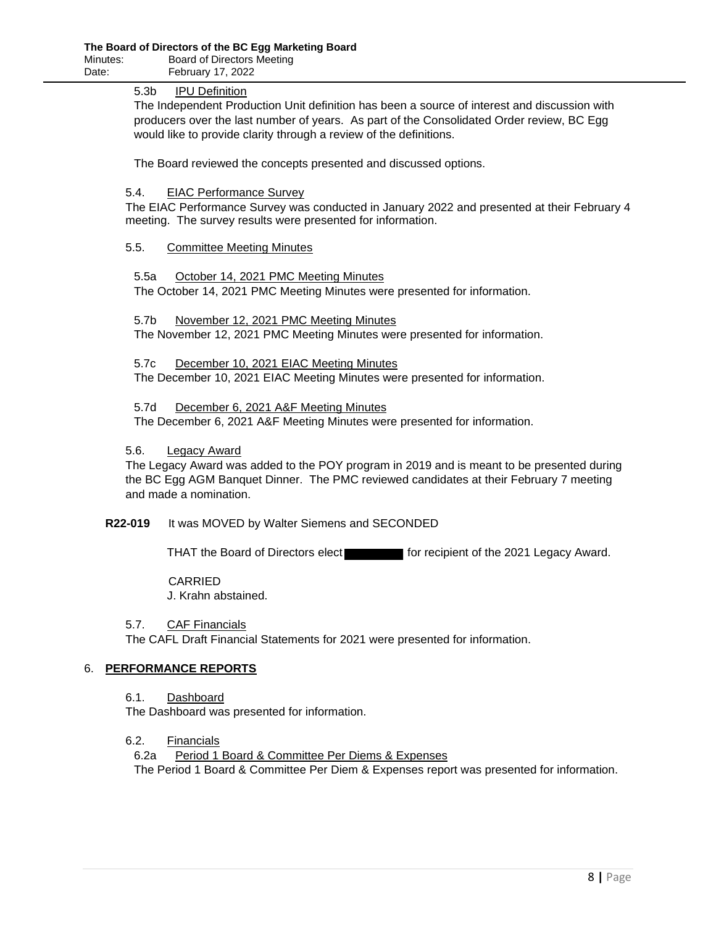# 5.3b IPU Definition

The Independent Production Unit definition has been a source of interest and discussion with producers over the last number of years. As part of the Consolidated Order review, BC Egg would like to provide clarity through a review of the definitions.

The Board reviewed the concepts presented and discussed options.

#### 5.4. EIAC Performance Survey

The EIAC Performance Survey was conducted in January 2022 and presented at their February 4 meeting. The survey results were presented for information.

### 5.5. Committee Meeting Minutes

5.5a October 14, 2021 PMC Meeting Minutes The October 14, 2021 PMC Meeting Minutes were presented for information.

5.7b November 12, 2021 PMC Meeting Minutes The November 12, 2021 PMC Meeting Minutes were presented for information.

5.7c December 10, 2021 EIAC Meeting Minutes The December 10, 2021 EIAC Meeting Minutes were presented for information.

5.7d December 6, 2021 A&F Meeting Minutes The December 6, 2021 A&F Meeting Minutes were presented for information.

### 5.6. Legacy Award

The Legacy Award was added to the POY program in 2019 and is meant to be presented during the BC Egg AGM Banquet Dinner. The PMC reviewed candidates at their February 7 meeting and made a nomination.

**R22-019** It was MOVED by Walter Siemens and SECONDED

THAT the Board of Directors elect for recipient of the 2021 Legacy Award.

CARRIED

J. Krahn abstained.

### 5.7. CAF Financials

The CAFL Draft Financial Statements for 2021 were presented for information.

# 6. **PERFORMANCE REPORTS**

6.1. Dashboard

The Dashboard was presented for information.

### 6.2. Financials

6.2a Period 1 Board & Committee Per Diems & Expenses The Period 1 Board & Committee Per Diem & Expenses report was presented for information.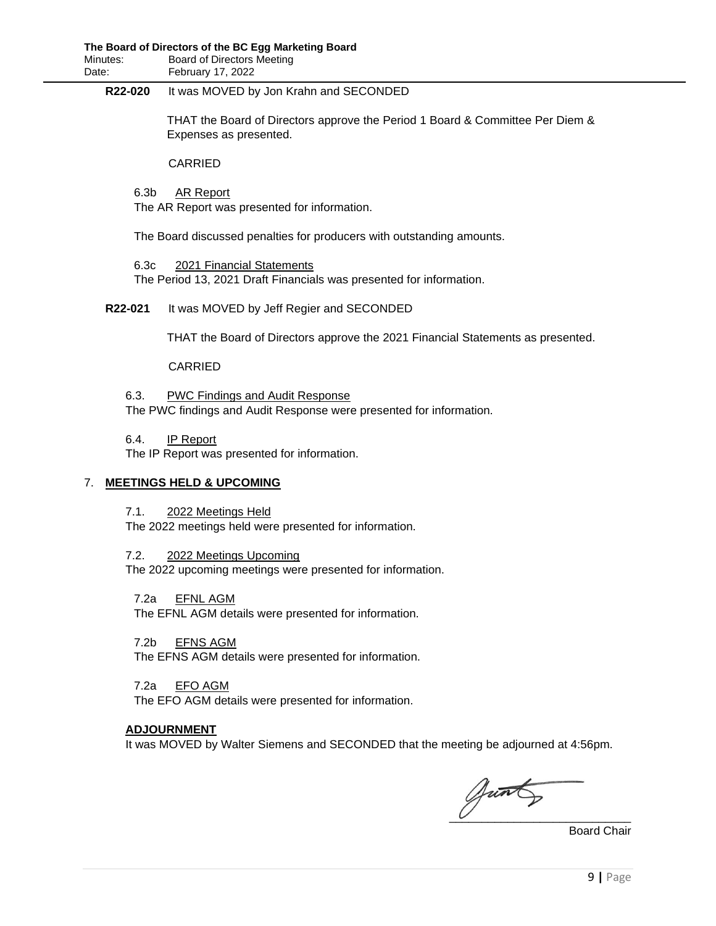### **R22-020** It was MOVED by Jon Krahn and SECONDED

THAT the Board of Directors approve the Period 1 Board & Committee Per Diem & Expenses as presented.

CARRIED

6.3b AR Report The AR Report was presented for information.

The Board discussed penalties for producers with outstanding amounts.

6.3c 2021 Financial Statements The Period 13, 2021 Draft Financials was presented for information.

# **R22-021** It was MOVED by Jeff Regier and SECONDED

THAT the Board of Directors approve the 2021 Financial Statements as presented.

### CARRIED

6.3. PWC Findings and Audit Response The PWC findings and Audit Response were presented for information.

6.4. IP Report

The IP Report was presented for information.

# 7. **MEETINGS HELD & UPCOMING**

7.1. 2022 Meetings Held

The 2022 meetings held were presented for information.

7.2. 2022 Meetings Upcoming

The 2022 upcoming meetings were presented for information.

7.2a EFNL AGM

The EFNL AGM details were presented for information.

7.2b EFNS AGM

The EFNS AGM details were presented for information.

7.2a EFO AGM

The EFO AGM details were presented for information.

### **ADJOURNMENT**

It was MOVED by Walter Siemens and SECONDED that the meeting be adjourned at 4:56pm.

Junts

Board Chair